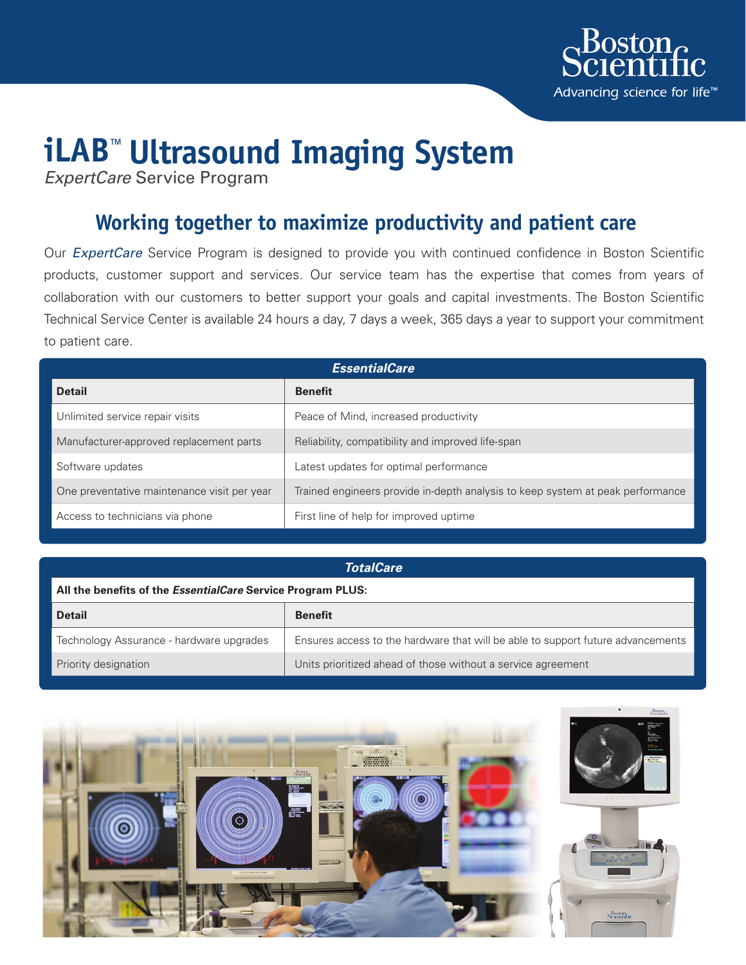

# **iLAB™ Ultrasound Imaging System**

*ExpertCare* Service Program

# **Working together to maximize productivity and patient care**

Our *ExpertCare* Service Program is designed to provide you with continued confidence in Boston Scientific products, customer support and services. Our service team has the expertise that comes from years of collaboration with our customers to better support your goals and capital investments. The Boston Scientific Technical Service Center is available 24 hours a day, 7 days a week, 365 days a year to support your commitment to patient care.

| <b>EssentialCare</b>                        |                                                                                |  |
|---------------------------------------------|--------------------------------------------------------------------------------|--|
| <b>Detail</b>                               | <b>Benefit</b>                                                                 |  |
| Unlimited service repair visits             | Peace of Mind, increased productivity                                          |  |
| Manufacturer-approved replacement parts     | Reliability, compatibility and improved life-span                              |  |
| Software updates                            | Latest updates for optimal performance                                         |  |
| One preventative maintenance visit per year | Trained engineers provide in-depth analysis to keep system at peak performance |  |
| Access to technicians via phone             | First line of help for improved uptime                                         |  |

### *TotalCare*

### **All the benefits of the** *EssentialCare* **Service Program PLUS:**

| <b>Detail</b>                            | <b>Benefit</b>                                                                  |
|------------------------------------------|---------------------------------------------------------------------------------|
| Technology Assurance - hardware upgrades | Ensures access to the hardware that will be able to support future advancements |
| Priority designation                     | Units prioritized ahead of those without a service agreement                    |